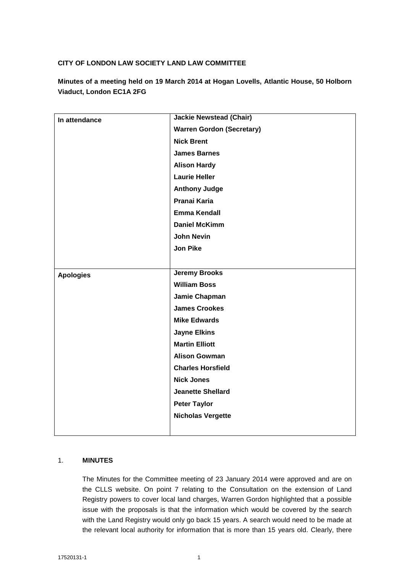## **CITY OF LONDON LAW SOCIETY LAND LAW COMMITTEE**

**Minutes of a meeting held on 19 March 2014 at Hogan Lovells, Atlantic House, 50 Holborn Viaduct, London EC1A 2FG**

| In attendance    | <b>Jackie Newstead (Chair)</b>   |
|------------------|----------------------------------|
|                  | <b>Warren Gordon (Secretary)</b> |
|                  | <b>Nick Brent</b>                |
|                  | <b>James Barnes</b>              |
|                  | <b>Alison Hardy</b>              |
|                  | <b>Laurie Heller</b>             |
|                  | <b>Anthony Judge</b>             |
|                  | Pranai Karia                     |
|                  | <b>Emma Kendall</b>              |
|                  | <b>Daniel McKimm</b>             |
|                  | <b>John Nevin</b>                |
|                  | <b>Jon Pike</b>                  |
|                  |                                  |
| <b>Apologies</b> | <b>Jeremy Brooks</b>             |
|                  | <b>William Boss</b>              |
|                  | Jamie Chapman                    |
|                  | <b>James Crookes</b>             |
|                  | <b>Mike Edwards</b>              |
|                  | <b>Jayne Elkins</b>              |
|                  | <b>Martin Elliott</b>            |
|                  | <b>Alison Gowman</b>             |
|                  | <b>Charles Horsfield</b>         |
|                  | <b>Nick Jones</b>                |
|                  | <b>Jeanette Shellard</b>         |
|                  | <b>Peter Taylor</b>              |
|                  | <b>Nicholas Vergette</b>         |
|                  |                                  |

## 1. **MINUTES**

The Minutes for the Committee meeting of 23 January 2014 were approved and are on the CLLS website. On point 7 relating to the Consultation on the extension of Land Registry powers to cover local land charges, Warren Gordon highlighted that a possible issue with the proposals is that the information which would be covered by the search with the Land Registry would only go back 15 years. A search would need to be made at the relevant local authority for information that is more than 15 years old. Clearly, there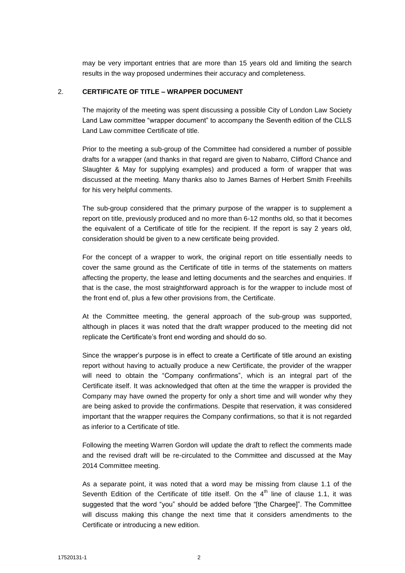may be very important entries that are more than 15 years old and limiting the search results in the way proposed undermines their accuracy and completeness.

#### 2. **CERTIFICATE OF TITLE – WRAPPER DOCUMENT**

The majority of the meeting was spent discussing a possible City of London Law Society Land Law committee "wrapper document" to accompany the Seventh edition of the CLLS Land Law committee Certificate of title.

Prior to the meeting a sub-group of the Committee had considered a number of possible drafts for a wrapper (and thanks in that regard are given to Nabarro, Clifford Chance and Slaughter & May for supplying examples) and produced a form of wrapper that was discussed at the meeting. Many thanks also to James Barnes of Herbert Smith Freehills for his very helpful comments.

The sub-group considered that the primary purpose of the wrapper is to supplement a report on title, previously produced and no more than 6-12 months old, so that it becomes the equivalent of a Certificate of title for the recipient. If the report is say 2 years old, consideration should be given to a new certificate being provided.

For the concept of a wrapper to work, the original report on title essentially needs to cover the same ground as the Certificate of title in terms of the statements on matters affecting the property, the lease and letting documents and the searches and enquiries. If that is the case, the most straightforward approach is for the wrapper to include most of the front end of, plus a few other provisions from, the Certificate.

At the Committee meeting, the general approach of the sub-group was supported, although in places it was noted that the draft wrapper produced to the meeting did not replicate the Certificate's front end wording and should do so.

Since the wrapper's purpose is in effect to create a Certificate of title around an existing report without having to actually produce a new Certificate, the provider of the wrapper will need to obtain the "Company confirmations", which is an integral part of the Certificate itself. It was acknowledged that often at the time the wrapper is provided the Company may have owned the property for only a short time and will wonder why they are being asked to provide the confirmations. Despite that reservation, it was considered important that the wrapper requires the Company confirmations, so that it is not regarded as inferior to a Certificate of title.

Following the meeting Warren Gordon will update the draft to reflect the comments made and the revised draft will be re-circulated to the Committee and discussed at the May 2014 Committee meeting.

As a separate point, it was noted that a word may be missing from clause 1.1 of the Seventh Edition of the Certificate of title itself. On the  $4<sup>th</sup>$  line of clause 1.1, it was suggested that the word "you" should be added before "[the Chargee]". The Committee will discuss making this change the next time that it considers amendments to the Certificate or introducing a new edition.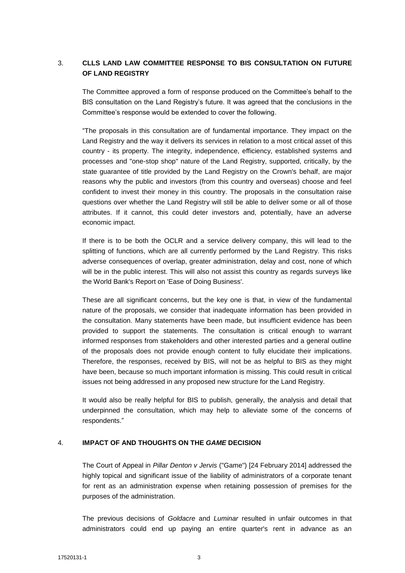# 3. **CLLS LAND LAW COMMITTEE RESPONSE TO BIS CONSULTATION ON FUTURE OF LAND REGISTRY**

The Committee approved a form of response produced on the Committee's behalf to the BIS consultation on the Land Registry's future. It was agreed that the conclusions in the Committee's response would be extended to cover the following.

"The proposals in this consultation are of fundamental importance. They impact on the Land Registry and the way it delivers its services in relation to a most critical asset of this country - its property. The integrity, independence, efficiency, established systems and processes and "one-stop shop" nature of the Land Registry, supported, critically, by the state guarantee of title provided by the Land Registry on the Crown's behalf, are major reasons why the public and investors (from this country and overseas) choose and feel confident to invest their money in this country. The proposals in the consultation raise questions over whether the Land Registry will still be able to deliver some or all of those attributes. If it cannot, this could deter investors and, potentially, have an adverse economic impact.

If there is to be both the OCLR and a service delivery company, this will lead to the splitting of functions, which are all currently performed by the Land Registry. This risks adverse consequences of overlap, greater administration, delay and cost, none of which will be in the public interest. This will also not assist this country as regards surveys like the World Bank's Report on 'Ease of Doing Business'.

These are all significant concerns, but the key one is that, in view of the fundamental nature of the proposals, we consider that inadequate information has been provided in the consultation. Many statements have been made, but insufficient evidence has been provided to support the statements. The consultation is critical enough to warrant informed responses from stakeholders and other interested parties and a general outline of the proposals does not provide enough content to fully elucidate their implications. Therefore, the responses, received by BIS, will not be as helpful to BIS as they might have been, because so much important information is missing. This could result in critical issues not being addressed in any proposed new structure for the Land Registry.

It would also be really helpful for BIS to publish, generally, the analysis and detail that underpinned the consultation, which may help to alleviate some of the concerns of respondents."

#### 4. **IMPACT OF AND THOUGHTS ON THE** *GAME* **DECISION**

The Court of Appeal in *Pillar Denton v Jervis* ("Game") [24 February 2014] addressed the highly topical and significant issue of the liability of administrators of a corporate tenant for rent as an administration expense when retaining possession of premises for the purposes of the administration.

The previous decisions of *Goldacre* and *Luminar* resulted in unfair outcomes in that administrators could end up paying an entire quarter's rent in advance as an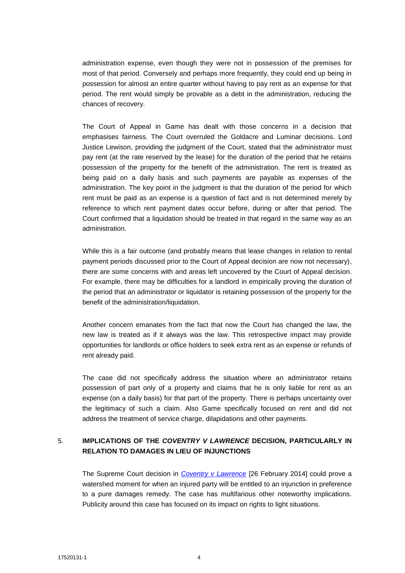administration expense, even though they were not in possession of the premises for most of that period. Conversely and perhaps more frequently, they could end up being in possession for almost an entire quarter without having to pay rent as an expense for that period. The rent would simply be provable as a debt in the administration, reducing the chances of recovery.

The Court of Appeal in Game has dealt with those concerns in a decision that emphasises fairness. The Court overruled the Goldacre and Luminar decisions. Lord Justice Lewison, providing the judgment of the Court, stated that the administrator must pay rent (at the rate reserved by the lease) for the duration of the period that he retains possession of the property for the benefit of the administration. The rent is treated as being paid on a daily basis and such payments are payable as expenses of the administration. The key point in the judgment is that the duration of the period for which rent must be paid as an expense is a question of fact and is not determined merely by reference to which rent payment dates occur before, during or after that period. The Court confirmed that a liquidation should be treated in that regard in the same way as an administration.

While this is a fair outcome (and probably means that lease changes in relation to rental payment periods discussed prior to the Court of Appeal decision are now not necessary), there are some concerns with and areas left uncovered by the Court of Appeal decision. For example, there may be difficulties for a landlord in empirically proving the duration of the period that an administrator or liquidator is retaining possession of the property for the benefit of the administration/liquidation.

Another concern emanates from the fact that now the Court has changed the law, the new law is treated as if it always was the law. This retrospective impact may provide opportunities for landlords or office holders to seek extra rent as an expense or refunds of rent already paid.

The case did not specifically address the situation where an administrator retains possession of part only of a property and claims that he is only liable for rent as an expense (on a daily basis) for that part of the property. There is perhaps uncertainty over the legitimacy of such a claim. Also Game specifically focused on rent and did not address the treatment of service charge, dilapidations and other payments.

# 5. **IMPLICATIONS OF THE** *COVENTRY V LAWRENCE* **DECISION, PARTICULARLY IN RELATION TO DAMAGES IN LIEU OF INJUNCTIONS**

The Supreme Court decision in *[Coventry v Lawrence](http://www.bailii.org/cgi-bin/markup.cgi?doc=/uk/cases/UKSC/2014/13.html&query=title+(+coventry+)+and+title+(+lawrence+)&method=boolean)* [26 February 2014] could prove a watershed moment for when an injured party will be entitled to an injunction in preference to a pure damages remedy. The case has multifarious other noteworthy implications. Publicity around this case has focused on its impact on rights to light situations.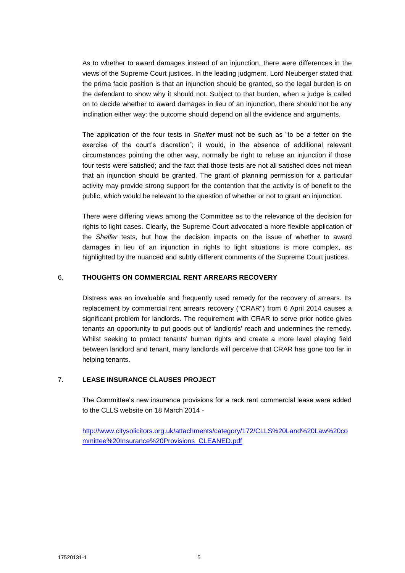As to whether to award damages instead of an injunction, there were differences in the views of the Supreme Court justices. In the leading judgment, Lord Neuberger stated that the prima facie position is that an injunction should be granted, so the legal burden is on the defendant to show why it should not. Subject to that burden, when a judge is called on to decide whether to award damages in lieu of an injunction, there should not be any inclination either way: the outcome should depend on all the evidence and arguments.

The application of the four tests in *Shelfer* must not be such as "to be a fetter on the exercise of the court's discretion"; it would, in the absence of additional relevant circumstances pointing the other way, normally be right to refuse an injunction if those four tests were satisfied; and the fact that those tests are not all satisfied does not mean that an injunction should be granted. The grant of planning permission for a particular activity may provide strong support for the contention that the activity is of benefit to the public, which would be relevant to the question of whether or not to grant an injunction.

There were differing views among the Committee as to the relevance of the decision for rights to light cases. Clearly, the Supreme Court advocated a more flexible application of the *Shelfer* tests, but how the decision impacts on the issue of whether to award damages in lieu of an injunction in rights to light situations is more complex, as highlighted by the nuanced and subtly different comments of the Supreme Court justices.

## 6. **THOUGHTS ON COMMERCIAL RENT ARREARS RECOVERY**

Distress was an invaluable and frequently used remedy for the recovery of arrears. Its replacement by commercial rent arrears recovery ("CRAR") from 6 April 2014 causes a significant problem for landlords. The requirement with CRAR to serve prior notice gives tenants an opportunity to put goods out of landlords' reach and undermines the remedy. Whilst seeking to protect tenants' human rights and create a more level playing field between landlord and tenant, many landlords will perceive that CRAR has gone too far in helping tenants.

## 7. **LEASE INSURANCE CLAUSES PROJECT**

The Committee's new insurance provisions for a rack rent commercial lease were added to the CLLS website on 18 March 2014 -

[http://www.citysolicitors.org.uk/attachments/category/172/CLLS%20Land%20Law%20co](http://www.citysolicitors.org.uk/attachments/category/172/CLLS%20Land%20Law%20committee%20Insurance%20Provisions_CLEANED.pdf) [mmittee%20Insurance%20Provisions\\_CLEANED.pdf](http://www.citysolicitors.org.uk/attachments/category/172/CLLS%20Land%20Law%20committee%20Insurance%20Provisions_CLEANED.pdf)